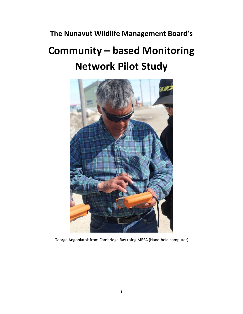# **The Nunavut Wildlife Management Board's**

# **Community – based Monitoring Network Pilot Study**



George Angohiatok from Cambridge Bay using MESA (Hand-held computer)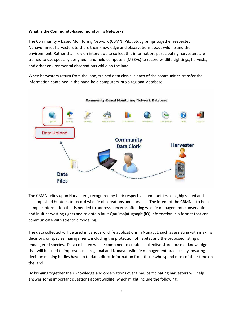# **What is the Community-based monitoring Network?**

The Community – based Monitoring Network (CBMN) Pilot Study brings together respected Nunavummiut harvesters to share their knowledge and observations about wildlife and the environment. Rather than rely on interviews to collect this information, participating harvesters are trained to use specially designed hand-held computers (MESAs) to record wildlife sightings, harvests, and other environmental observations while on the land.

When harvesters return from the land, trained data clerks in each of the communities transfer the information contained in the hand-held computers into a regional database.



The CBMN relies upon Harvesters, recognized by their respective communities as highly skilled and accomplished hunters, to record wildlife observations and harvests. The intent of the CBMN is to help compile information that is needed to address concerns affecting wildlife management, conservation, and Inuit harvesting rights and to obtain Inuit Qaujimajatugangit (IQ) information in a format that can communicate with scientific modeling.

The data collected will be used in various wildlife applications in Nunavut, such as assisting with making decisions on species management, including the protection of habitat and the proposed listing of endangered species. Data collected will be combined to create a collective storehouse of knowledge that will be used to improve local, regional and Nunavut wildlife management practices by ensuring decision making bodies have up to date, direct information from those who spend most of their time on the land.

By bringing together their knowledge and observations over time, participating harvesters will help answer some important questions about wildlife, which might include the following: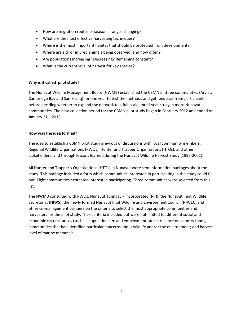- How are migration routes or seasonal ranges changing?
- What are the most effective harvesting techniques?
- Where is the most important habitat that should be protected from development?
- Where are sick or injured animals being observed, and how often?
- Are populations increasing? Decreasing? Remaining constant?
- What is the current level of harvest for key species?

# **Why is it called pilot study?**

The Nunavut Wildlife Management Board (NWMB) established the CBMN in three communities (Arviat, Cambridge Bay and Sanikiluaq) for one year to test the methods and get feedback from participants before deciding whether to expand the network to a full-scale, multi-year study in more Nunavut communities. The data collection period for the CBMN pilot study began in February 2012 and ended on January  $31<sup>st</sup>$ , 2013.

# **How was the idea formed?**

The idea to establish a CBMN pilot study grew out of discussions with local community members, Regional Wildlife Organizations (RWOs), Hunter and Trapper Organizations (HTOs), and other stakeholders, and through lessons learned during the Nunavut Wildlife Harvest Study (1996-2001).

All Hunter and Trapper's Organizations (HTOs) in Nunavut were sent information packages about the study. This package included a form which communities interested in participating in the study could fill out. Eight communities expressed interest in participating. Three communities were selected from this list.

The NWMB consulted with RWOs, Nunavut Tunngavik Incorporated (NTI), the Nunavut Inuit Wildlife Secretariat (NIWS), the newly formed Nunavut Inuit Wildlife and Environment Council (NIWEC) and other co-management partners on the criteria to select the most appropriate communities and harvesters for the pilot study. These criteria included but were not limited to: different social and economic circumstances (such as population size and employment rates), reliance on country foods, communities that had identified particular concerns about wildlife and/or the environment; and harvest level of marine mammals.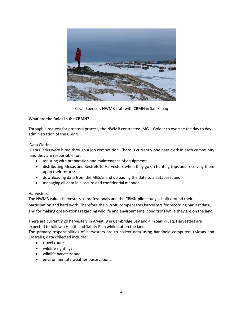

Sarah Spencer, NWMB staff with CBMN in Sanikiluaq

# **What are the Roles in the CBMN?**

Through a request for proposal process, the NWMB contracted IMG – Golder to oversee the day to day administration of the CBMN.

# Data Clerks:

Data Clerks were hired through a job competition. There is currently one data clerk in each community and they are responsible for:

- assisting with preparation and maintenance of equipment;
- distributing Mesas and Kestrels to Harvesters when they go on hunting trips and receiving them upon their return;
- downloading data from the MESAs and uploading the data to a database; and
- managing all data in a secure and confidential manner.

# Harvesters:

The NWMB values harvesters as professionals and the CBMN pilot study is built around their participation and hard work. Therefore the NWMB compensates harvesters for recording harvest data, and for making observations regarding wildlife and environmental conditions while they are on the land.

There are currently 20 harvesters in Arviat, 9 in Cambridge Bay and 4 in Sanikiluaq. Harvesters are expected to follow a Health and Safety Plan while out on the land.

The primary responsibilities of harvesters are to collect data using handheld computers (Mesas and Kestrels); data collected includes:

- travel routes;
- wildlife sightings;
- wildlife harvests; and
- environmental / weather observations.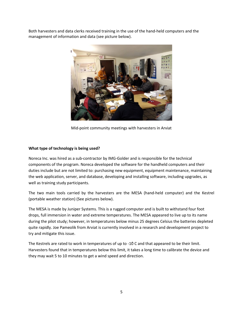Both harvesters and data clerks received training in the use of the hand-held computers and the management of information and data (see picture below).



Mid-point community meetings with harvesters in Arviat

# **What type of technology is being used?**

Noreca Inc. was hired as a sub-contractor by IMG-Golder and is responsible for the technical components of the program. Noreca developed the software for the handheld computers and their duties include but are not limited to: purchasing new equipment, equipment maintenance, maintaining the web application, server, and database, developing and installing software, including upgrades, as well as training study participants.

The two main tools carried by the harvesters are the MESA (hand-held computer) and the Kestrel (portable weather station) (See pictures below).

The MESA is made by Juniper Systems. This is a rugged computer and is built to withstand four foot drops, full immersion in water and extreme temperatures. The MESA appeared to live up to its name during the pilot study; however, in temperatures below minus 25 degrees Celsius the batteries depleted quite rapidly. Joe Pameolik from Arviat is currently involved in a research and development project to try and mitigate this issue.

The Kestrels are rated to work in temperatures of up to -10̊ C and that appeared to be their limit. Harvesters found that in temperatures below this limit, it takes a long time to calibrate the device and they may wait 5 to 10 minutes to get a wind speed and direction.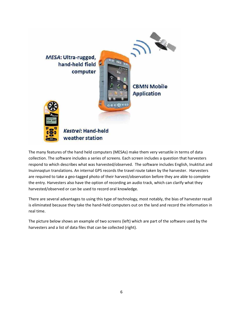

The many features of the hand held computers (MESAs) make them very versatile in terms of data collection. The software includes a series of screens. Each screen includes a question that harvesters respond to which describes what was harvested/observed. The software includes English, Inuktitut and Inuinnaqtun translations. An internal GPS records the travel route taken by the harvester. Harvesters are required to take a geo-tagged photo of their harvest/observation before they are able to complete the entry. Harvesters also have the option of recording an audio track, which can clarify what they harvested/observed or can be used to record oral knowledge.

There are several advantages to using this type of technology, most notably, the bias of harvester recall is eliminated because they take the hand-held computers out on the land and record the information in real time.

The picture below shows an example of two screens (left) which are part of the software used by the harvesters and a list of data files that can be collected (right).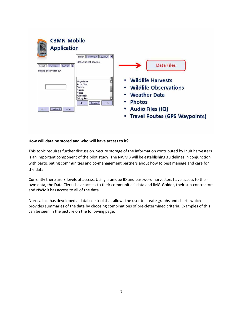

# **How will data be stored and who will have access to it?**

This topic requires further discussion. Secure storage of the information contributed by Inuit harvesters is an important component of the pilot study. The NWMB will be establishing guidelines in conjunction with participating communities and co-management partners about how to best manage and care for the data.

Currently there are 3 levels of access. Using a unique ID and password harvesters have access to their own data, the Data Clerks have access to their communities' data and IMG-Golder, their sub-contractors and NWMB has access to all of the data.

Noreca Inc. has developed a database tool that allows the user to create graphs and charts which provides summaries of the data by choosing combinations of pre-determined criteria. Examples of this can be seen in the picture on the following page.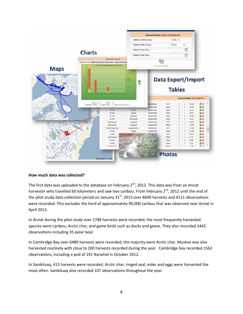

# **How much data was collected?**

The first data was uploaded to the database on February  $2^{nd}$ , 2012. This data was from an Arviat harvester who travelled 60 kilometers and saw two caribou. From February 2<sup>nd</sup>, 2012 until the end of the pilot study data collection period on January  $31<sup>st</sup>$ , 2013 over 8690 harvests and 4111 observations were recorded. This excludes the herd of approximately 90,000 caribou that was observed near Arviat in April 2012.

In Arviat during the pilot study over 1788 harvests were recorded; the most frequently harvested species were caribou, Arctic char, and game birds such as ducks and geese. They also recorded 2442 observations including 35 polar bear.

In Cambridge Bay over 6489 harvests were recorded, the majority were Arctic char. Muskox was also harvested routinely with close to 200 harvests recorded during the year. Cambridge bay recorded 1562 observations, including a pod of 191 Narwhal in October 2012.

In Sanikiluaq, 413 harvests were recorded. Arctic char, ringed seal, eider and eggs were harvested the most often. Sanikiluaq also recorded 107 observations throughout the year.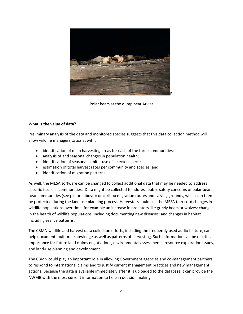

Polar bears at the dump near Arviat

# **What is the value of data?**

Preliminary analysis of the data and monitored species suggests that this data collection method will allow wildlife managers to assist with:

- identification of main harvesting areas for each of the three communities;
- analysis of and seasonal changes in population health;
- identification of seasonal habitat use of selected species;
- estimation of total harvest rates per community and species; and
- identification of migration patterns.

As well, the MESA software can be changed to collect additional data that may be needed to address specific issues in communities. Data might be collected to address public safety concerns of polar bear near communities (see picture above); or caribou migration routes and calving grounds, which can then be protected during the land use planning process. Harvesters could use the MESA to record changes in wildlife populations over time, for example an increase in predators like grizzly bears or wolves; changes in the health of wildlife populations, including documenting new diseases; and changes in habitat including sea ice patterns.

The CBMN wildlife and harvest data collection efforts, including the frequently used audio feature, can help document Inuit oral knowledge as well as patterns of harvesting. Such information can be of critical importance for future land claims negotiations, environmental assessments, resource exploration issues, and land-use planning and development.

The CBMN could play an important role in allowing Government agencies and co-management partners to respond to international claims and to justify current management practices and new management actions. Because the data is available immediately after it is uploaded to the database it can provide the NWMB with the most current information to help in decision making.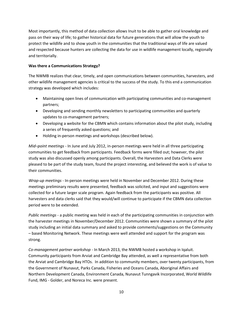Most importantly, this method of data collection allows Inuit to be able to gather oral knowledge and pass on their way of life; to gather historical data for future generations that will allow the youth to protect the wildlife and to show youth in the communities that the traditional ways of life are valued and respected because hunters are collecting the data for use in wildlife management locally, regionally and territorially.

# **Was there a Communications Strategy?**

The NWMB realizes that clear, timely, and open communications between communities, harvesters, and other wildlife management agencies is critical to the success of the study. To this end a communication strategy was developed which includes:

- Maintaining open lines of communication with participating communities and co-management partners;
- Developing and sending monthly newsletters to participating communities and quarterly updates to co-management partners;
- Developing a website for the CBMN which contains information about the pilot study, including a series of frequently asked questions; and
- Holding in-person meetings and workshops (described below).

*Mid–point meetings -* In June and July 2012, in-person meetings were held in all three participating communities to get feedback from participants. Feedback forms were filled out; however, the pilot study was also discussed openly among participants. Overall, the Harvesters and Data Clerks were pleased to be part of the study team, found the project interesting, and believed the work is of value to their communities.

*Wrap-up meetings* - In-person meetings were held in November and December 2012. During these meetings preliminary results were presented, feedback was solicited, and input and suggestions were collected for a future larger scale program. Again feedback from the participants was positive. All harvesters and data clerks said that they would/will continue to participate if the CBMN data collection period were to be extended.

*Public meetings* - a public meeting was held in each of the participating communities in conjunction with the harvester meetings in November/December 2012. Communities were shown a summary of the pilot study including an initial data summary and asked to provide comments/suggestions on the Community – based Monitoring Network. These meetings were well attended and support for the program was strong.

*Co-management partner workshop* - In March 2013, the NWMB hosted a workshop in Iqaluit. Community participants from Arviat and Cambridge Bay attended, as well a representative from both the Arviat and Cambridge Bay HTOs. In addition to community members, over twenty participants, from the Government of Nunavut, Parks Canada, Fisheries and Oceans Canada, Aboriginal Affairs and Northern Development Canada, Environment Canada, Nunavut Tunngavik Incorporated, World Wildlife Fund, IMG - Golder, and Noreca Inc. were present.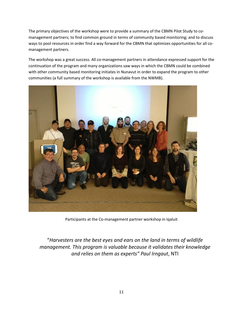The primary objectives of the workshop were to provide a summary of the CBMN Pilot Study to comanagement partners; to find common ground in terms of community based monitoring; and to discuss ways to pool resources in order find a way forward for the CBMN that optimizes opportunities for all comanagement partners.

The workshop was a great success. All co-management partners in attendance expressed support for the continuation of the program and many organizations saw ways in which the CBMN could be combined with other community based monitoring initiates in Nunavut in order to expand the program to other communities (a full summary of the workshop is available from the NWMB).



Participants at the Co-management partner workshop in Iqaluit

"*Harvesters are the best eyes and ears on the land in terms of wildlife management. This program is valuable because it validates their knowledge and relies on them as experts" Paul Irngaut*, NTI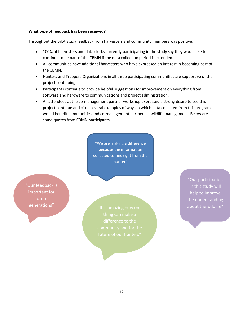#### **What type of feedback has been received?**

Throughout the pilot study feedback from harvesters and community members was positive.

- 100% of harvesters and data clerks currently participating in the study say they would like to continue to be part of the CBMN if the data collection period is extended.
- All communities have additional harvesters who have expressed an interest in becoming part of the CBMN.
- Hunters and Trappers Organizations in all three participating communities are supportive of the project continuing.
- Participants continue to provide helpful suggestions for improvement on everything from software and hardware to communications and project administration.
- All attendees at the co-management partner workshop expressed a strong desire to see this project continue and cited several examples of ways in which data collected from this program would benefit communities and co-management partners in wildlife management. Below are some quotes from CBMN participants.

"We are making a difference because the information collected comes right from the hunter"

"Our feedback is important for future generations"

"It is amazing how one The Wildlife"

"Our participation in this study will help to improve the understanding